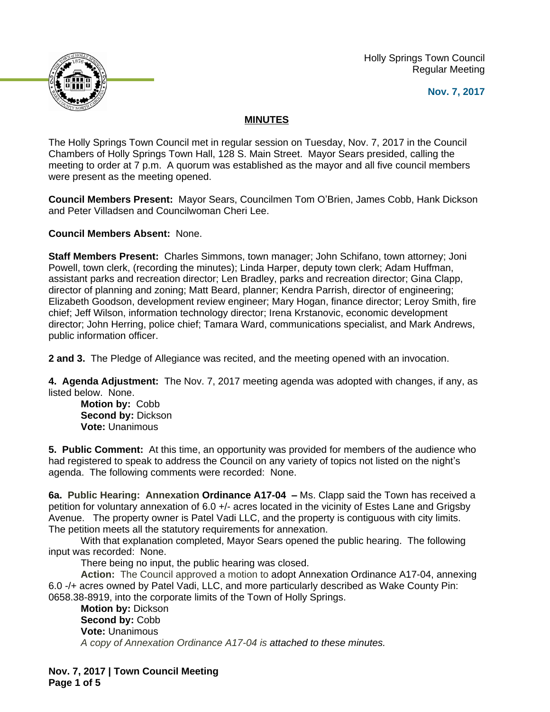Holly Springs Town Council Regular Meeting





## **MINUTES**

The Holly Springs Town Council met in regular session on Tuesday, Nov. 7, 2017 in the Council Chambers of Holly Springs Town Hall, 128 S. Main Street. Mayor Sears presided, calling the meeting to order at 7 p.m. A quorum was established as the mayor and all five council members were present as the meeting opened.

**Council Members Present:** Mayor Sears, Councilmen Tom O'Brien, James Cobb, Hank Dickson and Peter Villadsen and Councilwoman Cheri Lee.

**Council Members Absent:** None.

**Staff Members Present:** Charles Simmons, town manager; John Schifano, town attorney; Joni Powell, town clerk, (recording the minutes); Linda Harper, deputy town clerk; Adam Huffman, assistant parks and recreation director; Len Bradley, parks and recreation director; Gina Clapp, director of planning and zoning; Matt Beard, planner; Kendra Parrish, director of engineering; Elizabeth Goodson, development review engineer; Mary Hogan, finance director; Leroy Smith, fire chief; Jeff Wilson, information technology director; Irena Krstanovic, economic development director; John Herring, police chief; Tamara Ward, communications specialist, and Mark Andrews, public information officer.

**2 and 3.** The Pledge of Allegiance was recited, and the meeting opened with an invocation.

**4. Agenda Adjustment:** The Nov. 7, 2017 meeting agenda was adopted with changes, if any, as listed below. None.

**Motion by:** Cobb **Second by:** Dickson **Vote:** Unanimous

**5. Public Comment:** At this time, an opportunity was provided for members of the audience who had registered to speak to address the Council on any variety of topics not listed on the night's agenda. The following comments were recorded: None.

**6a. Public Hearing: Annexation Ordinance A17-04 –** Ms. Clapp said the Town has received a petition for voluntary annexation of 6.0 +/- acres located in the vicinity of Estes Lane and Grigsby Avenue. The property owner is Patel Vadi LLC, and the property is contiguous with city limits. The petition meets all the statutory requirements for annexation.

With that explanation completed, Mayor Sears opened the public hearing. The following input was recorded: None.

There being no input, the public hearing was closed.

**Action:** The Council approved a motion to adopt Annexation Ordinance A17-04, annexing 6.0 -/+ acres owned by Patel Vadi, LLC, and more particularly described as Wake County Pin: 0658.38-8919, into the corporate limits of the Town of Holly Springs.

**Motion by:** Dickson **Second by:** Cobb **Vote:** Unanimous *A copy of Annexation Ordinance A17-04 is attached to these minutes.*

**Nov. 7, 2017 | Town Council Meeting Page 1 of 5**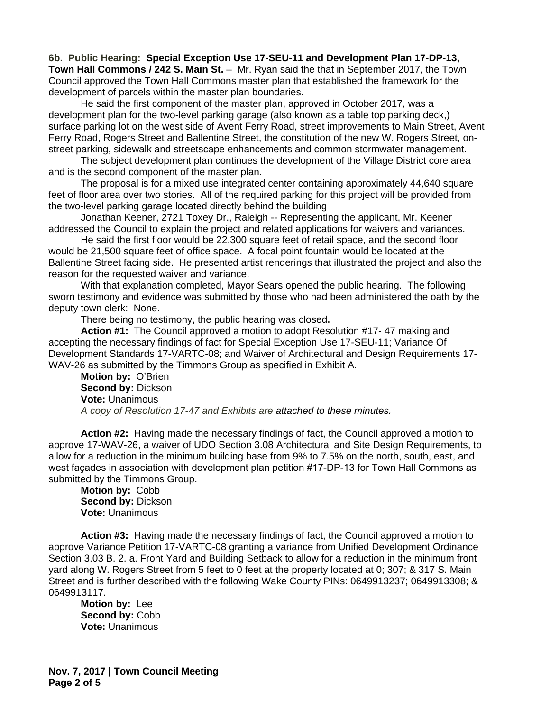**6b. Public Hearing: Special Exception Use 17-SEU-11 and Development Plan 17-DP-13, Town Hall Commons / 242 S. Main St.** – Mr. Ryan said the that in September 2017, the Town Council approved the Town Hall Commons master plan that established the framework for the development of parcels within the master plan boundaries.

He said the first component of the master plan, approved in October 2017, was a development plan for the two-level parking garage (also known as a table top parking deck,) surface parking lot on the west side of Avent Ferry Road, street improvements to Main Street, Avent Ferry Road, Rogers Street and Ballentine Street, the constitution of the new W. Rogers Street, onstreet parking, sidewalk and streetscape enhancements and common stormwater management.

The subject development plan continues the development of the Village District core area and is the second component of the master plan.

The proposal is for a mixed use integrated center containing approximately 44,640 square feet of floor area over two stories. All of the required parking for this project will be provided from the two-level parking garage located directly behind the building

Jonathan Keener, 2721 Toxey Dr., Raleigh -- Representing the applicant, Mr. Keener addressed the Council to explain the project and related applications for waivers and variances.

He said the first floor would be 22,300 square feet of retail space, and the second floor would be 21,500 square feet of office space. A focal point fountain would be located at the Ballentine Street facing side. He presented artist renderings that illustrated the project and also the reason for the requested waiver and variance.

With that explanation completed, Mayor Sears opened the public hearing. The following sworn testimony and evidence was submitted by those who had been administered the oath by the deputy town clerk: None.

There being no testimony, the public hearing was closed**.**

**Action #1:** The Council approved a motion to adopt Resolution #17- 47 making and accepting the necessary findings of fact for Special Exception Use 17-SEU-11; Variance Of Development Standards 17-VARTC-08; and Waiver of Architectural and Design Requirements 17- WAV-26 as submitted by the Timmons Group as specified in Exhibit A.

**Motion by:** O'Brien **Second by:** Dickson **Vote:** Unanimous *A copy of Resolution 17-47 and Exhibits are attached to these minutes.*

**Action #2:** Having made the necessary findings of fact, the Council approved a motion to approve 17-WAV-26, a waiver of UDO Section 3.08 Architectural and Site Design Requirements, to allow for a reduction in the minimum building base from 9% to 7.5% on the north, south, east, and west façades in association with development plan petition #17-DP-13 for Town Hall Commons as submitted by the Timmons Group.

**Motion by:** Cobb **Second by:** Dickson **Vote:** Unanimous

**Action #3:** Having made the necessary findings of fact, the Council approved a motion to approve Variance Petition 17-VARTC-08 granting a variance from Unified Development Ordinance Section 3.03 B. 2. a. Front Yard and Building Setback to allow for a reduction in the minimum front yard along W. Rogers Street from 5 feet to 0 feet at the property located at 0; 307; & 317 S. Main Street and is further described with the following Wake County PINs: 0649913237; 0649913308; & 0649913117.

**Motion by:** Lee **Second by:** Cobb **Vote:** Unanimous

**Nov. 7, 2017 | Town Council Meeting Page 2 of 5**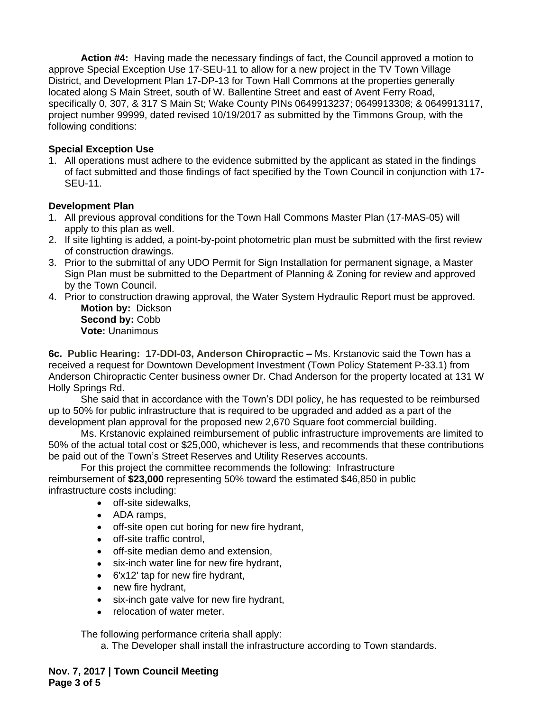**Action #4:** Having made the necessary findings of fact, the Council approved a motion to approve Special Exception Use 17-SEU-11 to allow for a new project in the TV Town Village District, and Development Plan 17-DP-13 for Town Hall Commons at the properties generally located along S Main Street, south of W. Ballentine Street and east of Avent Ferry Road, specifically 0, 307, & 317 S Main St; Wake County PINs 0649913237; 0649913308; & 0649913117, project number 99999, dated revised 10/19/2017 as submitted by the Timmons Group, with the following conditions:

## **Special Exception Use**

1. All operations must adhere to the evidence submitted by the applicant as stated in the findings of fact submitted and those findings of fact specified by the Town Council in conjunction with 17- SEU-11.

## **Development Plan**

- 1. All previous approval conditions for the Town Hall Commons Master Plan (17-MAS-05) will apply to this plan as well.
- 2. If site lighting is added, a point-by-point photometric plan must be submitted with the first review of construction drawings.
- 3. Prior to the submittal of any UDO Permit for Sign Installation for permanent signage, a Master Sign Plan must be submitted to the Department of Planning & Zoning for review and approved by the Town Council.
- 4. Prior to construction drawing approval, the Water System Hydraulic Report must be approved. **Motion by:** Dickson

**Second by:** Cobb **Vote:** Unanimous

**6c. Public Hearing: 17-DDI-03, Anderson Chiropractic –** Ms. Krstanovic said the Town has a received a request for Downtown Development Investment (Town Policy Statement P-33.1) from Anderson Chiropractic Center business owner Dr. Chad Anderson for the property located at 131 W Holly Springs Rd.

She said that in accordance with the Town's DDI policy, he has requested to be reimbursed up to 50% for public infrastructure that is required to be upgraded and added as a part of the development plan approval for the proposed new 2,670 Square foot commercial building.

Ms. Krstanovic explained reimbursement of public infrastructure improvements are limited to 50% of the actual total cost or \$25,000, whichever is less, and recommends that these contributions be paid out of the Town's Street Reserves and Utility Reserves accounts.

For this project the committee recommends the following: Infrastructure reimbursement of **\$23,000** representing 50% toward the estimated \$46,850 in public infrastructure costs including:

- off-site sidewalks,
- ADA ramps,
- off-site open cut boring for new fire hydrant,
- off-site traffic control,
- off-site median demo and extension.
- six-inch water line for new fire hydrant,
- 6'x12' tap for new fire hydrant,
- new fire hydrant,
- six-inch gate valve for new fire hydrant,
- relocation of water meter.

The following performance criteria shall apply:

a. The Developer shall install the infrastructure according to Town standards.

**Nov. 7, 2017 | Town Council Meeting Page 3 of 5**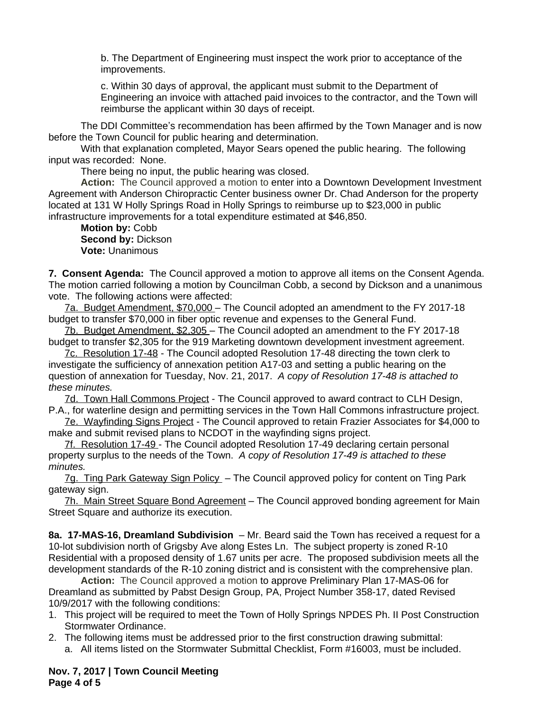b. The Department of Engineering must inspect the work prior to acceptance of the improvements.

c. Within 30 days of approval, the applicant must submit to the Department of Engineering an invoice with attached paid invoices to the contractor, and the Town will reimburse the applicant within 30 days of receipt.

The DDI Committee's recommendation has been affirmed by the Town Manager and is now before the Town Council for public hearing and determination.

With that explanation completed, Mayor Sears opened the public hearing. The following input was recorded: None.

There being no input, the public hearing was closed.

**Action:** The Council approved a motion to enter into a Downtown Development Investment Agreement with Anderson Chiropractic Center business owner Dr. Chad Anderson for the property located at 131 W Holly Springs Road in Holly Springs to reimburse up to \$23,000 in public infrastructure improvements for a total expenditure estimated at \$46,850.

**Motion by:** Cobb **Second by:** Dickson **Vote:** Unanimous

**7. Consent Agenda:** The Council approved a motion to approve all items on the Consent Agenda. The motion carried following a motion by Councilman Cobb, a second by Dickson and a unanimous vote. The following actions were affected:

7a. Budget Amendment, \$70,000 – The Council adopted an amendment to the FY 2017-18 budget to transfer \$70,000 in fiber optic revenue and expenses to the General Fund.

7b. Budget Amendment, \$2,305 – The Council adopted an amendment to the FY 2017-18 budget to transfer \$2,305 for the 919 Marketing downtown development investment agreement.

7c. Resolution 17-48 - The Council adopted Resolution 17-48 directing the town clerk to investigate the sufficiency of annexation petition A17-03 and setting a public hearing on the question of annexation for Tuesday, Nov. 21, 2017. *A copy of Resolution 17-48 is attached to these minutes.* 

7d. Town Hall Commons Project - The Council approved to award contract to CLH Design, P.A., for waterline design and permitting services in the Town Hall Commons infrastructure project.

7e. Wayfinding Signs Project - The Council approved to retain Frazier Associates for \$4,000 to make and submit revised plans to NCDOT in the wayfinding signs project.

7f. Resolution 17-49 - The Council adopted Resolution 17-49 declaring certain personal property surplus to the needs of the Town. *A copy of Resolution 17-49 is attached to these minutes.* 

7g. Ting Park Gateway Sign Policy - The Council approved policy for content on Ting Park gateway sign.

7h. Main Street Square Bond Agreement – The Council approved bonding agreement for Main Street Square and authorize its execution.

**8a. 17-MAS-16, Dreamland Subdivision** – Mr. Beard said the Town has received a request for a 10-lot subdivision north of Grigsby Ave along Estes Ln. The subject property is zoned R-10 Residential with a proposed density of 1.67 units per acre. The proposed subdivision meets all the development standards of the R-10 zoning district and is consistent with the comprehensive plan.

**Action:** The Council approved a motion to approve Preliminary Plan 17-MAS-06 for Dreamland as submitted by Pabst Design Group, PA, Project Number 358-17, dated Revised 10/9/2017 with the following conditions:

- 1. This project will be required to meet the Town of Holly Springs NPDES Ph. II Post Construction Stormwater Ordinance.
- 2. The following items must be addressed prior to the first construction drawing submittal: a. All items listed on the Stormwater Submittal Checklist, Form #16003, must be included.

**Nov. 7, 2017 | Town Council Meeting Page 4 of 5**